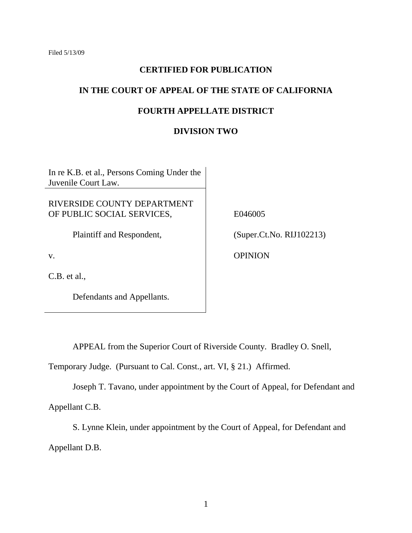### **CERTIFIED FOR PUBLICATION**

# **IN THE COURT OF APPEAL OF THE STATE OF CALIFORNIA**

### **FOURTH APPELLATE DISTRICT**

#### **DIVISION TWO**

In re K.B. et al., Persons Coming Under the Juvenile Court Law.

### RIVERSIDE COUNTY DEPARTMENT OF PUBLIC SOCIAL SERVICES,

Plaintiff and Respondent,

v.

C.B. et al.,

Defendants and Appellants.

E046005

(Super.Ct.No. RIJ102213)

**OPINION** 

APPEAL from the Superior Court of Riverside County. Bradley O. Snell,

Temporary Judge. (Pursuant to Cal. Const., art. VI, § 21.) Affirmed.

Joseph T. Tavano, under appointment by the Court of Appeal, for Defendant and Appellant C.B.

S. Lynne Klein, under appointment by the Court of Appeal, for Defendant and Appellant D.B.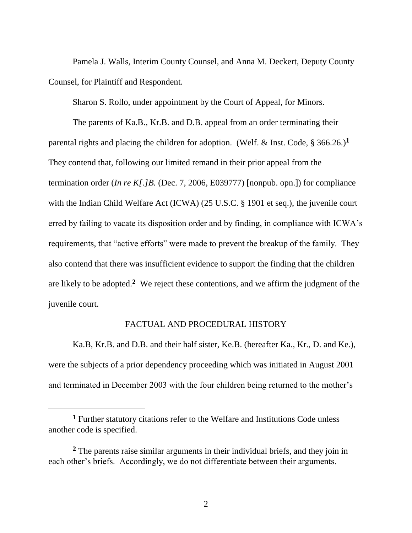Pamela J. Walls, Interim County Counsel, and Anna M. Deckert, Deputy County Counsel, for Plaintiff and Respondent.

Sharon S. Rollo, under appointment by the Court of Appeal, for Minors.

The parents of Ka.B., Kr.B. and D.B. appeal from an order terminating their parental rights and placing the children for adoption. (Welf. & Inst. Code, § 366.26.)**<sup>1</sup>** They contend that, following our limited remand in their prior appeal from the termination order (*In re K[.]B.* (Dec. 7, 2006, E039777) [nonpub. opn.]) for compliance with the Indian Child Welfare Act (ICWA) (25 U.S.C. § 1901 et seq.), the juvenile court erred by failing to vacate its disposition order and by finding, in compliance with ICWA"s requirements, that "active efforts" were made to prevent the breakup of the family. They also contend that there was insufficient evidence to support the finding that the children are likely to be adopted.**<sup>2</sup>** We reject these contentions, and we affirm the judgment of the juvenile court.

#### FACTUAL AND PROCEDURAL HISTORY

Ka.B, Kr.B. and D.B. and their half sister, Ke.B. (hereafter Ka., Kr., D. and Ke.), were the subjects of a prior dependency proceeding which was initiated in August 2001 and terminated in December 2003 with the four children being returned to the mother's

**<sup>1</sup>** Further statutory citations refer to the Welfare and Institutions Code unless another code is specified.

**<sup>2</sup>** The parents raise similar arguments in their individual briefs, and they join in each other's briefs. Accordingly, we do not differentiate between their arguments.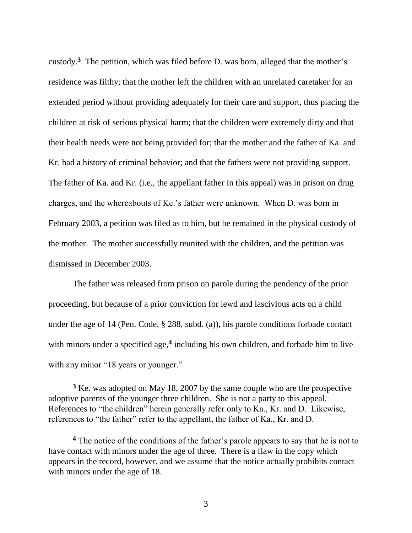custody.<sup>3</sup> The petition, which was filed before D. was born, alleged that the mother's residence was filthy; that the mother left the children with an unrelated caretaker for an extended period without providing adequately for their care and support, thus placing the children at risk of serious physical harm; that the children were extremely dirty and that their health needs were not being provided for; that the mother and the father of Ka. and Kr. had a history of criminal behavior; and that the fathers were not providing support. The father of Ka. and Kr. (i.e., the appellant father in this appeal) was in prison on drug charges, and the whereabouts of Ke."s father were unknown. When D. was born in February 2003, a petition was filed as to him, but he remained in the physical custody of the mother. The mother successfully reunited with the children, and the petition was dismissed in December 2003.

The father was released from prison on parole during the pendency of the prior proceeding, but because of a prior conviction for lewd and lascivious acts on a child under the age of 14 (Pen. Code, § 288, subd. (a)), his parole conditions forbade contact with minors under a specified age,<sup>4</sup> including his own children, and forbade him to live with any minor "18 years or younger."

**<sup>3</sup>** Ke. was adopted on May 18, 2007 by the same couple who are the prospective adoptive parents of the younger three children. She is not a party to this appeal. References to "the children" herein generally refer only to Ka., Kr. and D. Likewise, references to "the father" refer to the appellant, the father of Ka., Kr. and D.

**<sup>4</sup>** The notice of the conditions of the father"s parole appears to say that he is not to have contact with minors under the age of three. There is a flaw in the copy which appears in the record, however, and we assume that the notice actually prohibits contact with minors under the age of 18.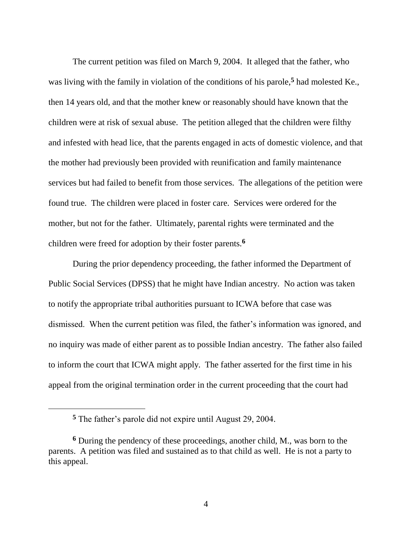The current petition was filed on March 9, 2004. It alleged that the father, who was living with the family in violation of the conditions of his parole,**<sup>5</sup>** had molested Ke., then 14 years old, and that the mother knew or reasonably should have known that the children were at risk of sexual abuse. The petition alleged that the children were filthy and infested with head lice, that the parents engaged in acts of domestic violence, and that the mother had previously been provided with reunification and family maintenance services but had failed to benefit from those services. The allegations of the petition were found true. The children were placed in foster care. Services were ordered for the mother, but not for the father. Ultimately, parental rights were terminated and the children were freed for adoption by their foster parents.**<sup>6</sup>**

During the prior dependency proceeding, the father informed the Department of Public Social Services (DPSS) that he might have Indian ancestry. No action was taken to notify the appropriate tribal authorities pursuant to ICWA before that case was dismissed. When the current petition was filed, the father"s information was ignored, and no inquiry was made of either parent as to possible Indian ancestry. The father also failed to inform the court that ICWA might apply. The father asserted for the first time in his appeal from the original termination order in the current proceeding that the court had

**<sup>5</sup>** The father"s parole did not expire until August 29, 2004.

**<sup>6</sup>** During the pendency of these proceedings, another child, M., was born to the parents. A petition was filed and sustained as to that child as well. He is not a party to this appeal.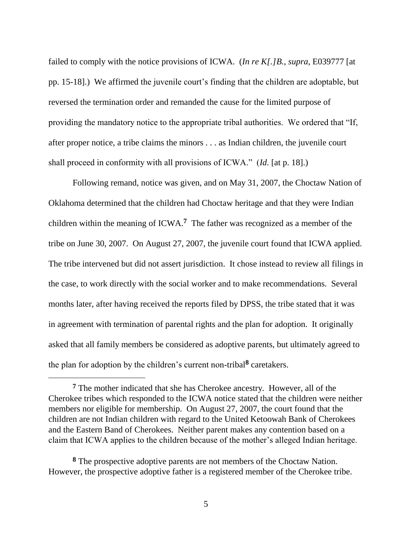failed to comply with the notice provisions of ICWA. (*In re K[.]B.*, *supra*, E039777 [at pp. 15-18].) We affirmed the juvenile court"s finding that the children are adoptable, but reversed the termination order and remanded the cause for the limited purpose of providing the mandatory notice to the appropriate tribal authorities. We ordered that "If, after proper notice, a tribe claims the minors . . . as Indian children, the juvenile court shall proceed in conformity with all provisions of ICWA." (*Id*. [at p. 18].)

Following remand, notice was given, and on May 31, 2007, the Choctaw Nation of Oklahoma determined that the children had Choctaw heritage and that they were Indian children within the meaning of ICWA.**<sup>7</sup>** The father was recognized as a member of the tribe on June 30, 2007. On August 27, 2007, the juvenile court found that ICWA applied. The tribe intervened but did not assert jurisdiction. It chose instead to review all filings in the case, to work directly with the social worker and to make recommendations. Several months later, after having received the reports filed by DPSS, the tribe stated that it was in agreement with termination of parental rights and the plan for adoption. It originally asked that all family members be considered as adoptive parents, but ultimately agreed to the plan for adoption by the children"s current non-tribal**<sup>8</sup>** caretakers.

**<sup>7</sup>** The mother indicated that she has Cherokee ancestry. However, all of the Cherokee tribes which responded to the ICWA notice stated that the children were neither members nor eligible for membership. On August 27, 2007, the court found that the children are not Indian children with regard to the United Ketoowah Bank of Cherokees and the Eastern Band of Cherokees. Neither parent makes any contention based on a claim that ICWA applies to the children because of the mother"s alleged Indian heritage.

**<sup>8</sup>** The prospective adoptive parents are not members of the Choctaw Nation. However, the prospective adoptive father is a registered member of the Cherokee tribe.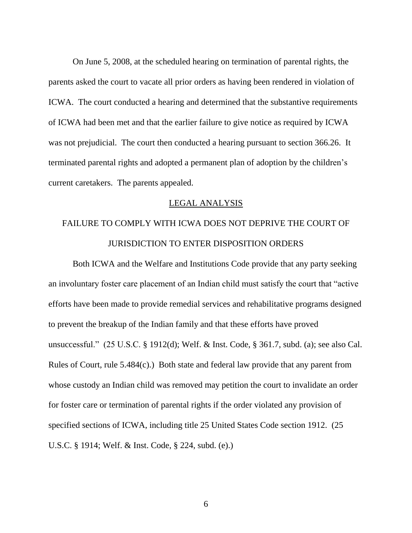On June 5, 2008, at the scheduled hearing on termination of parental rights, the parents asked the court to vacate all prior orders as having been rendered in violation of ICWA. The court conducted a hearing and determined that the substantive requirements of ICWA had been met and that the earlier failure to give notice as required by ICWA was not prejudicial. The court then conducted a hearing pursuant to section 366.26. It terminated parental rights and adopted a permanent plan of adoption by the children"s current caretakers. The parents appealed.

#### LEGAL ANALYSIS

# FAILURE TO COMPLY WITH ICWA DOES NOT DEPRIVE THE COURT OF JURISDICTION TO ENTER DISPOSITION ORDERS

Both ICWA and the Welfare and Institutions Code provide that any party seeking an involuntary foster care placement of an Indian child must satisfy the court that "active efforts have been made to provide remedial services and rehabilitative programs designed to prevent the breakup of the Indian family and that these efforts have proved unsuccessful." (25 U.S.C. § 1912(d); Welf. & Inst. Code, § 361.7, subd. (a); see also Cal. Rules of Court, rule 5.484(c).) Both state and federal law provide that any parent from whose custody an Indian child was removed may petition the court to invalidate an order for foster care or termination of parental rights if the order violated any provision of specified sections of ICWA, including title 25 United States Code section 1912. (25 U.S.C. § 1914; Welf. & Inst. Code, § 224, subd. (e).)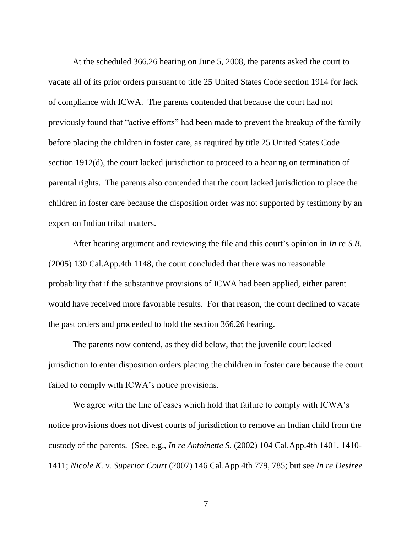At the scheduled 366.26 hearing on June 5, 2008, the parents asked the court to vacate all of its prior orders pursuant to title 25 United States Code section 1914 for lack of compliance with ICWA. The parents contended that because the court had not previously found that "active efforts" had been made to prevent the breakup of the family before placing the children in foster care, as required by title 25 United States Code section 1912(d), the court lacked jurisdiction to proceed to a hearing on termination of parental rights. The parents also contended that the court lacked jurisdiction to place the children in foster care because the disposition order was not supported by testimony by an expert on Indian tribal matters.

After hearing argument and reviewing the file and this court's opinion in *In re S.B.* (2005) 130 Cal.App.4th 1148, the court concluded that there was no reasonable probability that if the substantive provisions of ICWA had been applied, either parent would have received more favorable results. For that reason, the court declined to vacate the past orders and proceeded to hold the section 366.26 hearing.

The parents now contend, as they did below, that the juvenile court lacked jurisdiction to enter disposition orders placing the children in foster care because the court failed to comply with ICWA's notice provisions.

We agree with the line of cases which hold that failure to comply with ICWA's notice provisions does not divest courts of jurisdiction to remove an Indian child from the custody of the parents. (See, e.g., *In re Antoinette S.* (2002) 104 Cal.App.4th 1401, 1410- 1411; *Nicole K. v. Superior Court* (2007) 146 Cal.App.4th 779, 785; but see *In re Desiree*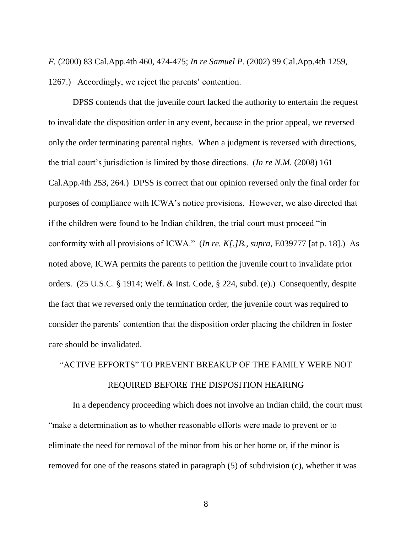*F.* (2000) 83 Cal.App.4th 460, 474-475; *In re Samuel P.* (2002) 99 Cal.App.4th 1259, 1267.) Accordingly, we reject the parents' contention.

DPSS contends that the juvenile court lacked the authority to entertain the request to invalidate the disposition order in any event, because in the prior appeal, we reversed only the order terminating parental rights. When a judgment is reversed with directions, the trial court"s jurisdiction is limited by those directions. (*In re N.M.* (2008) 161 Cal.App.4th 253, 264.) DPSS is correct that our opinion reversed only the final order for purposes of compliance with ICWA"s notice provisions. However, we also directed that if the children were found to be Indian children, the trial court must proceed "in conformity with all provisions of ICWA." (*In re. K[.]B.*, *supra*, E039777 [at p. 18].) As noted above, ICWA permits the parents to petition the juvenile court to invalidate prior orders. (25 U.S.C. § 1914; Welf. & Inst. Code, § 224, subd. (e).) Consequently, despite the fact that we reversed only the termination order, the juvenile court was required to consider the parents" contention that the disposition order placing the children in foster care should be invalidated.

# "ACTIVE EFFORTS" TO PREVENT BREAKUP OF THE FAMILY WERE NOT REQUIRED BEFORE THE DISPOSITION HEARING

In a dependency proceeding which does not involve an Indian child, the court must "make a determination as to whether reasonable efforts were made to prevent or to eliminate the need for removal of the minor from his or her home or, if the minor is removed for one of the reasons stated in paragraph (5) of subdivision (c), whether it was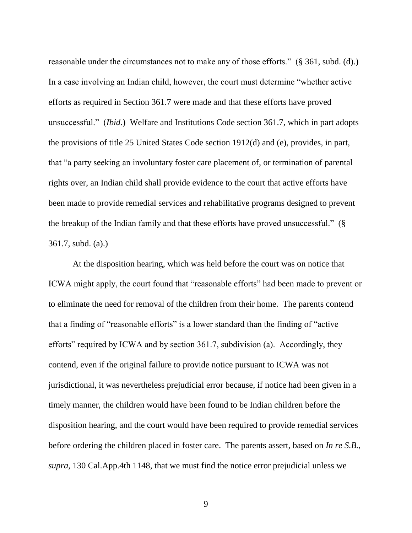reasonable under the circumstances not to make any of those efforts." (§ 361, subd. (d).) In a case involving an Indian child, however, the court must determine "whether active efforts as required in Section 361.7 were made and that these efforts have proved unsuccessful." (*Ibid*.) Welfare and Institutions Code section 361.7, which in part adopts the provisions of title 25 United States Code section 1912(d) and (e), provides, in part, that "a party seeking an involuntary foster care placement of, or termination of parental rights over, an Indian child shall provide evidence to the court that active efforts have been made to provide remedial services and rehabilitative programs designed to prevent the breakup of the Indian family and that these efforts have proved unsuccessful." (§ 361.7, subd. (a).)

At the disposition hearing, which was held before the court was on notice that ICWA might apply, the court found that "reasonable efforts" had been made to prevent or to eliminate the need for removal of the children from their home. The parents contend that a finding of "reasonable efforts" is a lower standard than the finding of "active efforts" required by ICWA and by section 361.7, subdivision (a). Accordingly, they contend, even if the original failure to provide notice pursuant to ICWA was not jurisdictional, it was nevertheless prejudicial error because, if notice had been given in a timely manner, the children would have been found to be Indian children before the disposition hearing, and the court would have been required to provide remedial services before ordering the children placed in foster care. The parents assert, based on *In re S.B.*, *supra*, 130 Cal.App.4th 1148, that we must find the notice error prejudicial unless we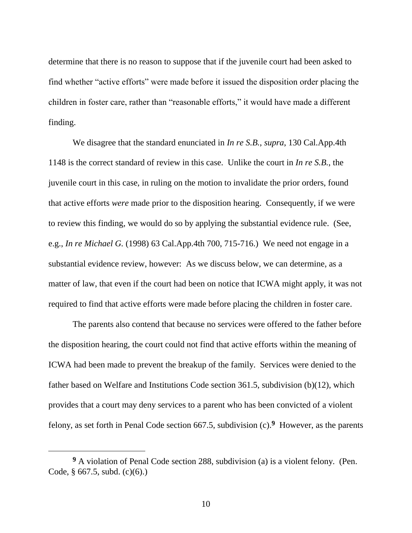determine that there is no reason to suppose that if the juvenile court had been asked to find whether "active efforts" were made before it issued the disposition order placing the children in foster care, rather than "reasonable efforts," it would have made a different finding.

We disagree that the standard enunciated in *In re S.B.*, *supra*, 130 Cal.App.4th 1148 is the correct standard of review in this case. Unlike the court in *In re S.B.*, the juvenile court in this case, in ruling on the motion to invalidate the prior orders, found that active efforts *were* made prior to the disposition hearing. Consequently, if we were to review this finding, we would do so by applying the substantial evidence rule. (See, e.g., *In re Michael G.* (1998) 63 Cal.App.4th 700, 715-716.) We need not engage in a substantial evidence review, however: As we discuss below, we can determine, as a matter of law, that even if the court had been on notice that ICWA might apply, it was not required to find that active efforts were made before placing the children in foster care.

The parents also contend that because no services were offered to the father before the disposition hearing, the court could not find that active efforts within the meaning of ICWA had been made to prevent the breakup of the family. Services were denied to the father based on Welfare and Institutions Code section 361.5, subdivision (b)(12), which provides that a court may deny services to a parent who has been convicted of a violent felony, as set forth in Penal Code section 667.5, subdivision (c).**<sup>9</sup>** However, as the parents

**<sup>9</sup>** A violation of Penal Code section 288, subdivision (a) is a violent felony. (Pen. Code, § 667.5, subd. (c)(6).)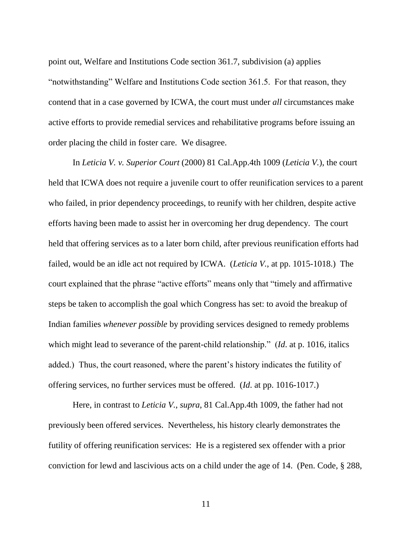point out, Welfare and Institutions Code section 361.7, subdivision (a) applies "notwithstanding" Welfare and Institutions Code section 361.5. For that reason, they contend that in a case governed by ICWA, the court must under *all* circumstances make active efforts to provide remedial services and rehabilitative programs before issuing an order placing the child in foster care. We disagree.

In *Leticia V. v. Superior Court* (2000) 81 Cal.App.4th 1009 (*Leticia V.*), the court held that ICWA does not require a juvenile court to offer reunification services to a parent who failed, in prior dependency proceedings, to reunify with her children, despite active efforts having been made to assist her in overcoming her drug dependency. The court held that offering services as to a later born child, after previous reunification efforts had failed, would be an idle act not required by ICWA. (*Leticia V.*, at pp. 1015-1018.) The court explained that the phrase "active efforts" means only that "timely and affirmative steps be taken to accomplish the goal which Congress has set: to avoid the breakup of Indian families *whenever possible* by providing services designed to remedy problems which might lead to severance of the parent-child relationship." *(Id. at p. 1016, italics*) added.) Thus, the court reasoned, where the parent"s history indicates the futility of offering services, no further services must be offered. (*Id*. at pp. 1016-1017.)

Here, in contrast to *Leticia V.*, *supra*, 81 Cal.App.4th 1009, the father had not previously been offered services. Nevertheless, his history clearly demonstrates the futility of offering reunification services: He is a registered sex offender with a prior conviction for lewd and lascivious acts on a child under the age of 14. (Pen. Code, § 288,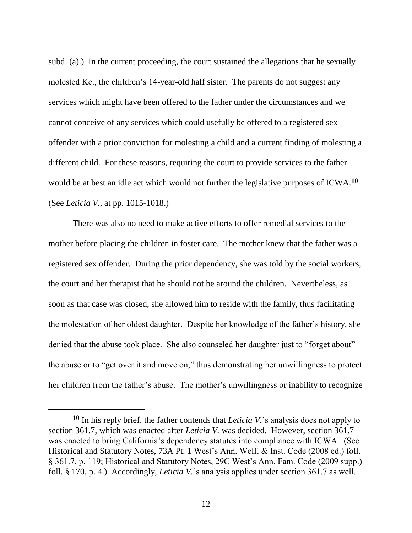subd. (a).) In the current proceeding, the court sustained the allegations that he sexually molested Ke., the children's 14-year-old half sister. The parents do not suggest any services which might have been offered to the father under the circumstances and we cannot conceive of any services which could usefully be offered to a registered sex offender with a prior conviction for molesting a child and a current finding of molesting a different child. For these reasons, requiring the court to provide services to the father would be at best an idle act which would not further the legislative purposes of ICWA.**<sup>10</sup>** (See *Leticia V.*, at pp. 1015-1018.)

There was also no need to make active efforts to offer remedial services to the mother before placing the children in foster care. The mother knew that the father was a registered sex offender. During the prior dependency, she was told by the social workers, the court and her therapist that he should not be around the children. Nevertheless, as soon as that case was closed, she allowed him to reside with the family, thus facilitating the molestation of her oldest daughter. Despite her knowledge of the father"s history, she denied that the abuse took place. She also counseled her daughter just to "forget about" the abuse or to "get over it and move on," thus demonstrating her unwillingness to protect her children from the father's abuse. The mother's unwillingness or inability to recognize

**<sup>10</sup>** In his reply brief, the father contends that *Leticia V.*"s analysis does not apply to section 361.7, which was enacted after *Leticia V.* was decided. However, section 361.7 was enacted to bring California"s dependency statutes into compliance with ICWA. (See Historical and Statutory Notes, 73A Pt. 1 West"s Ann. Welf. & Inst. Code (2008 ed.) foll. § 361.7, p. 119; Historical and Statutory Notes, 29C West"s Ann. Fam. Code (2009 supp.) foll. § 170, p. 4.) Accordingly, *Leticia V.*"s analysis applies under section 361.7 as well.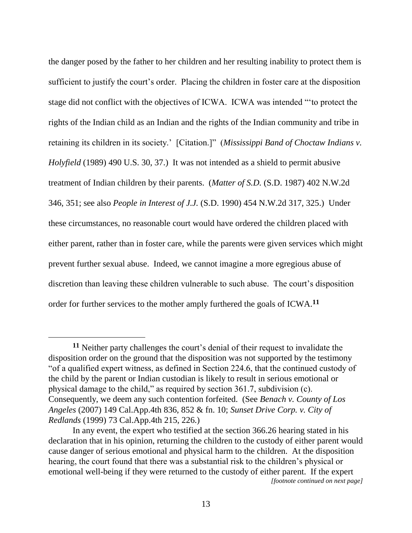the danger posed by the father to her children and her resulting inability to protect them is sufficient to justify the court's order. Placing the children in foster care at the disposition stage did not conflict with the objectives of ICWA. ICWA was intended ""to protect the rights of the Indian child as an Indian and the rights of the Indian community and tribe in retaining its children in its society." [Citation.]" (*Mississippi Band of Choctaw Indians v. Holyfield* (1989) 490 U.S. 30, 37.) It was not intended as a shield to permit abusive treatment of Indian children by their parents. (*Matter of S.D.* (S.D. 1987) 402 N.W.2d 346, 351; see also *People in Interest of J.J.* (S.D. 1990) 454 N.W.2d 317, 325.) Under these circumstances, no reasonable court would have ordered the children placed with either parent, rather than in foster care, while the parents were given services which might prevent further sexual abuse. Indeed, we cannot imagine a more egregious abuse of discretion than leaving these children vulnerable to such abuse. The court's disposition order for further services to the mother amply furthered the goals of ICWA.**<sup>11</sup>**

 $\overline{a}$ 

<sup>&</sup>lt;sup>11</sup> Neither party challenges the court's denial of their request to invalidate the disposition order on the ground that the disposition was not supported by the testimony "of a qualified expert witness, as defined in Section 224.6, that the continued custody of the child by the parent or Indian custodian is likely to result in serious emotional or physical damage to the child," as required by section 361.7, subdivision (c). Consequently, we deem any such contention forfeited. (See *Benach v. County of Los Angeles* (2007) 149 Cal.App.4th 836, 852 & fn. 10; *Sunset Drive Corp. v. City of Redlands* (1999) 73 Cal.App.4th 215, 226.)

In any event, the expert who testified at the section 366.26 hearing stated in his declaration that in his opinion, returning the children to the custody of either parent would cause danger of serious emotional and physical harm to the children. At the disposition hearing, the court found that there was a substantial risk to the children's physical or emotional well-being if they were returned to the custody of either parent. If the expert *[footnote continued on next page]*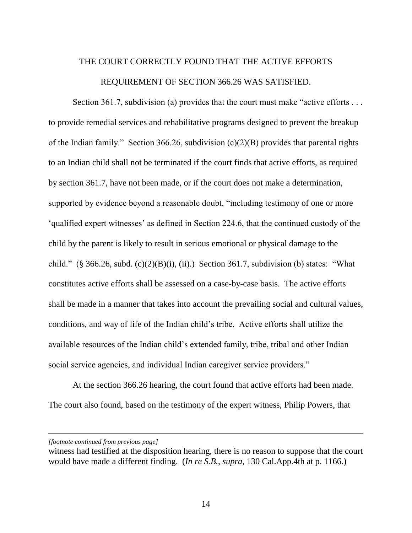# THE COURT CORRECTLY FOUND THAT THE ACTIVE EFFORTS REQUIREMENT OF SECTION 366.26 WAS SATISFIED.

Section 361.7, subdivision (a) provides that the court must make "active efforts . . . to provide remedial services and rehabilitative programs designed to prevent the breakup of the Indian family." Section 366.26, subdivision  $(c)(2)(B)$  provides that parental rights to an Indian child shall not be terminated if the court finds that active efforts, as required by section 361.7, have not been made, or if the court does not make a determination, supported by evidence beyond a reasonable doubt, "including testimony of one or more "qualified expert witnesses" as defined in Section 224.6, that the continued custody of the child by the parent is likely to result in serious emotional or physical damage to the child." (§ 366.26, subd.  $(c)(2)(B)(i)$ , (ii).) Section 361.7, subdivision (b) states: "What constitutes active efforts shall be assessed on a case-by-case basis. The active efforts shall be made in a manner that takes into account the prevailing social and cultural values, conditions, and way of life of the Indian child"s tribe. Active efforts shall utilize the available resources of the Indian child"s extended family, tribe, tribal and other Indian social service agencies, and individual Indian caregiver service providers."

At the section 366.26 hearing, the court found that active efforts had been made. The court also found, based on the testimony of the expert witness, Philip Powers, that

*[footnote continued from previous page]*

witness had testified at the disposition hearing, there is no reason to suppose that the court would have made a different finding. (*In re S.B.*, *supra*, 130 Cal.App.4th at p. 1166.)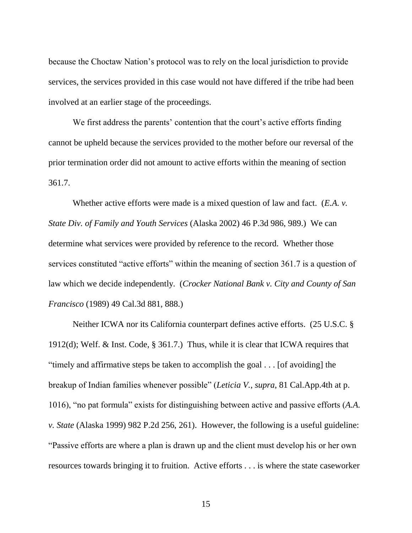because the Choctaw Nation"s protocol was to rely on the local jurisdiction to provide services, the services provided in this case would not have differed if the tribe had been involved at an earlier stage of the proceedings.

We first address the parents' contention that the court's active efforts finding cannot be upheld because the services provided to the mother before our reversal of the prior termination order did not amount to active efforts within the meaning of section 361.7.

Whether active efforts were made is a mixed question of law and fact. (*E.A. v. State Div. of Family and Youth Services* (Alaska 2002) 46 P.3d 986, 989.) We can determine what services were provided by reference to the record. Whether those services constituted "active efforts" within the meaning of section 361.7 is a question of law which we decide independently. (*Crocker National Bank v. City and County of San Francisco* (1989) 49 Cal.3d 881, 888.)

Neither ICWA nor its California counterpart defines active efforts. (25 U.S.C. § 1912(d); Welf. & Inst. Code, § 361.7.) Thus, while it is clear that ICWA requires that "timely and affirmative steps be taken to accomplish the goal . . . [of avoiding] the breakup of Indian families whenever possible" (*Leticia V.*, *supra*, 81 Cal.App.4th at p. 1016), "no pat formula" exists for distinguishing between active and passive efforts (*A.A. v. State* (Alaska 1999) 982 P.2d 256, 261). However, the following is a useful guideline: "Passive efforts are where a plan is drawn up and the client must develop his or her own resources towards bringing it to fruition. Active efforts . . . is where the state caseworker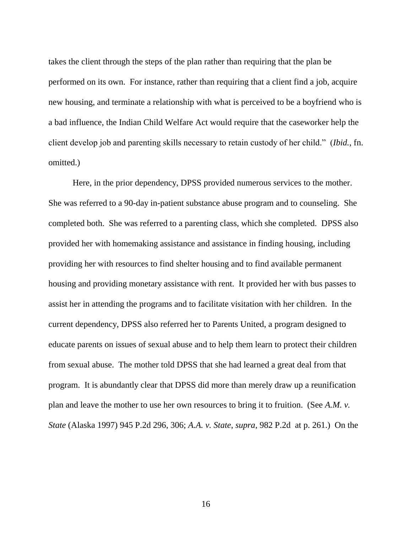takes the client through the steps of the plan rather than requiring that the plan be performed on its own. For instance, rather than requiring that a client find a job, acquire new housing, and terminate a relationship with what is perceived to be a boyfriend who is a bad influence, the Indian Child Welfare Act would require that the caseworker help the client develop job and parenting skills necessary to retain custody of her child." (*Ibid.*, fn. omitted.)

Here, in the prior dependency, DPSS provided numerous services to the mother. She was referred to a 90-day in-patient substance abuse program and to counseling. She completed both. She was referred to a parenting class, which she completed. DPSS also provided her with homemaking assistance and assistance in finding housing, including providing her with resources to find shelter housing and to find available permanent housing and providing monetary assistance with rent. It provided her with bus passes to assist her in attending the programs and to facilitate visitation with her children. In the current dependency, DPSS also referred her to Parents United, a program designed to educate parents on issues of sexual abuse and to help them learn to protect their children from sexual abuse. The mother told DPSS that she had learned a great deal from that program. It is abundantly clear that DPSS did more than merely draw up a reunification plan and leave the mother to use her own resources to bring it to fruition. (See *A.M. v. State* (Alaska 1997) 945 P.2d 296, 306; *A.A. v. State*, *supra*, 982 P.2d at p. 261.) On the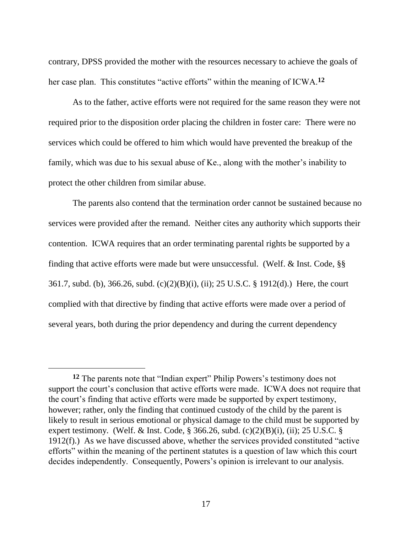contrary, DPSS provided the mother with the resources necessary to achieve the goals of her case plan. This constitutes "active efforts" within the meaning of ICWA.**<sup>12</sup>**

As to the father, active efforts were not required for the same reason they were not required prior to the disposition order placing the children in foster care: There were no services which could be offered to him which would have prevented the breakup of the family, which was due to his sexual abuse of Ke., along with the mother"s inability to protect the other children from similar abuse.

The parents also contend that the termination order cannot be sustained because no services were provided after the remand. Neither cites any authority which supports their contention. ICWA requires that an order terminating parental rights be supported by a finding that active efforts were made but were unsuccessful. (Welf. & Inst. Code, §§ 361.7, subd. (b), 366.26, subd. (c)(2)(B)(i), (ii); 25 U.S.C. § 1912(d).) Here, the court complied with that directive by finding that active efforts were made over a period of several years, both during the prior dependency and during the current dependency

 $\overline{a}$ 

<sup>&</sup>lt;sup>12</sup> The parents note that "Indian expert" Philip Powers's testimony does not support the court's conclusion that active efforts were made. ICWA does not require that the court's finding that active efforts were made be supported by expert testimony, however; rather, only the finding that continued custody of the child by the parent is likely to result in serious emotional or physical damage to the child must be supported by expert testimony. (Welf. & Inst. Code,  $\S$  366.26, subd. (c)(2)(B)(i), (ii); 25 U.S.C.  $\S$ 1912(f).) As we have discussed above, whether the services provided constituted "active efforts" within the meaning of the pertinent statutes is a question of law which this court decides independently. Consequently, Powers's opinion is irrelevant to our analysis.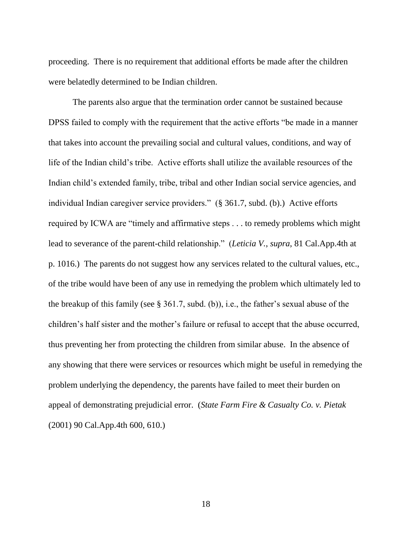proceeding. There is no requirement that additional efforts be made after the children were belatedly determined to be Indian children.

The parents also argue that the termination order cannot be sustained because DPSS failed to comply with the requirement that the active efforts "be made in a manner that takes into account the prevailing social and cultural values, conditions, and way of life of the Indian child"s tribe. Active efforts shall utilize the available resources of the Indian child"s extended family, tribe, tribal and other Indian social service agencies, and individual Indian caregiver service providers." (§ 361.7, subd. (b).) Active efforts required by ICWA are "timely and affirmative steps . . . to remedy problems which might lead to severance of the parent-child relationship." (*Leticia V.*, *supra*, 81 Cal.App.4th at p. 1016.) The parents do not suggest how any services related to the cultural values, etc., of the tribe would have been of any use in remedying the problem which ultimately led to the breakup of this family (see  $\S 361.7$ , subd. (b)), i.e., the father's sexual abuse of the children"s half sister and the mother"s failure or refusal to accept that the abuse occurred, thus preventing her from protecting the children from similar abuse. In the absence of any showing that there were services or resources which might be useful in remedying the problem underlying the dependency, the parents have failed to meet their burden on appeal of demonstrating prejudicial error. (*State Farm Fire & Casualty Co. v. Pietak* (2001) 90 Cal.App.4th 600, 610.)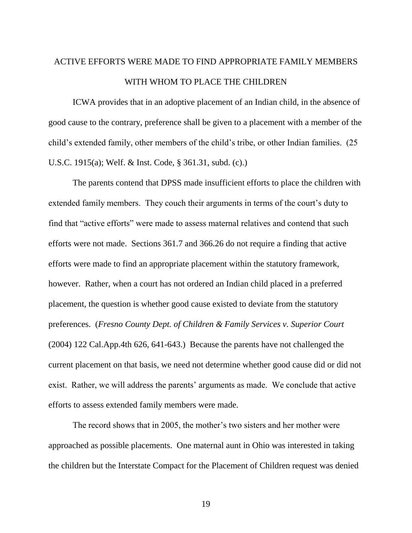# ACTIVE EFFORTS WERE MADE TO FIND APPROPRIATE FAMILY MEMBERS WITH WHOM TO PLACE THE CHILDREN

ICWA provides that in an adoptive placement of an Indian child, in the absence of good cause to the contrary, preference shall be given to a placement with a member of the child"s extended family, other members of the child"s tribe, or other Indian families. (25 U.S.C. 1915(a); Welf. & Inst. Code, § 361.31, subd. (c).)

The parents contend that DPSS made insufficient efforts to place the children with extended family members. They couch their arguments in terms of the court's duty to find that "active efforts" were made to assess maternal relatives and contend that such efforts were not made. Sections 361.7 and 366.26 do not require a finding that active efforts were made to find an appropriate placement within the statutory framework, however. Rather, when a court has not ordered an Indian child placed in a preferred placement, the question is whether good cause existed to deviate from the statutory preferences. (*Fresno County Dept. of Children & Family Services v. Superior Court* (2004) 122 Cal.App.4th 626, 641-643.) Because the parents have not challenged the current placement on that basis, we need not determine whether good cause did or did not exist. Rather, we will address the parents' arguments as made. We conclude that active efforts to assess extended family members were made.

The record shows that in 2005, the mother's two sisters and her mother were approached as possible placements. One maternal aunt in Ohio was interested in taking the children but the Interstate Compact for the Placement of Children request was denied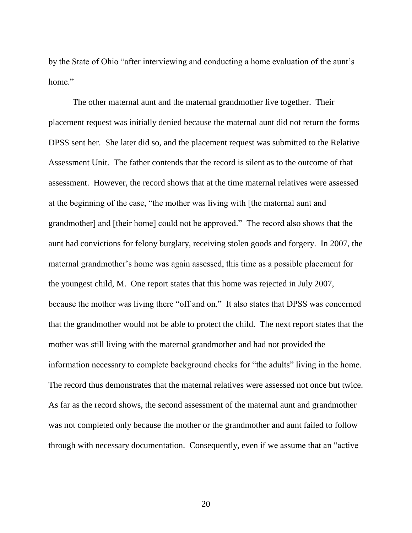by the State of Ohio "after interviewing and conducting a home evaluation of the aunt's home."

The other maternal aunt and the maternal grandmother live together. Their placement request was initially denied because the maternal aunt did not return the forms DPSS sent her. She later did so, and the placement request was submitted to the Relative Assessment Unit. The father contends that the record is silent as to the outcome of that assessment. However, the record shows that at the time maternal relatives were assessed at the beginning of the case, "the mother was living with [the maternal aunt and grandmother] and [their home] could not be approved." The record also shows that the aunt had convictions for felony burglary, receiving stolen goods and forgery. In 2007, the maternal grandmother"s home was again assessed, this time as a possible placement for the youngest child, M. One report states that this home was rejected in July 2007, because the mother was living there "off and on." It also states that DPSS was concerned that the grandmother would not be able to protect the child. The next report states that the mother was still living with the maternal grandmother and had not provided the information necessary to complete background checks for "the adults" living in the home. The record thus demonstrates that the maternal relatives were assessed not once but twice. As far as the record shows, the second assessment of the maternal aunt and grandmother was not completed only because the mother or the grandmother and aunt failed to follow through with necessary documentation. Consequently, even if we assume that an "active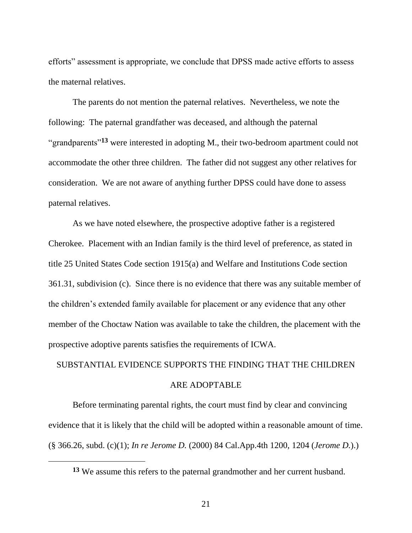efforts" assessment is appropriate, we conclude that DPSS made active efforts to assess the maternal relatives.

The parents do not mention the paternal relatives. Nevertheless, we note the following: The paternal grandfather was deceased, and although the paternal "grandparents"**<sup>13</sup>** were interested in adopting M., their two-bedroom apartment could not accommodate the other three children. The father did not suggest any other relatives for consideration. We are not aware of anything further DPSS could have done to assess paternal relatives.

As we have noted elsewhere, the prospective adoptive father is a registered Cherokee. Placement with an Indian family is the third level of preference, as stated in title 25 United States Code section 1915(a) and Welfare and Institutions Code section 361.31, subdivision (c). Since there is no evidence that there was any suitable member of the children"s extended family available for placement or any evidence that any other member of the Choctaw Nation was available to take the children, the placement with the prospective adoptive parents satisfies the requirements of ICWA.

### SUBSTANTIAL EVIDENCE SUPPORTS THE FINDING THAT THE CHILDREN

#### ARE ADOPTABLE

Before terminating parental rights, the court must find by clear and convincing evidence that it is likely that the child will be adopted within a reasonable amount of time. (§ 366.26, subd. (c)(1); *In re Jerome D.* (2000) 84 Cal.App.4th 1200, 1204 (*Jerome D.*).)

**<sup>13</sup>** We assume this refers to the paternal grandmother and her current husband.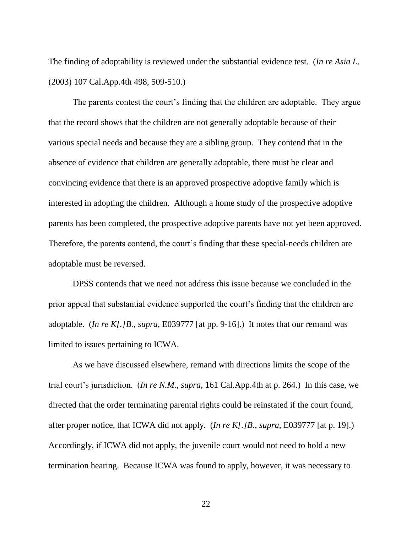The finding of adoptability is reviewed under the substantial evidence test. (*In re Asia L.* (2003) 107 Cal.App.4th 498, 509-510.)

The parents contest the court's finding that the children are adoptable. They argue that the record shows that the children are not generally adoptable because of their various special needs and because they are a sibling group. They contend that in the absence of evidence that children are generally adoptable, there must be clear and convincing evidence that there is an approved prospective adoptive family which is interested in adopting the children. Although a home study of the prospective adoptive parents has been completed, the prospective adoptive parents have not yet been approved. Therefore, the parents contend, the court's finding that these special-needs children are adoptable must be reversed.

DPSS contends that we need not address this issue because we concluded in the prior appeal that substantial evidence supported the court"s finding that the children are adoptable. (*In re K[.]B.*, *supra*, E039777 [at pp. 9-16].) It notes that our remand was limited to issues pertaining to ICWA.

As we have discussed elsewhere, remand with directions limits the scope of the trial court"s jurisdiction. (*In re N.M.*, *supra*, 161 Cal.App.4th at p. 264.) In this case, we directed that the order terminating parental rights could be reinstated if the court found, after proper notice, that ICWA did not apply. (*In re K[.]B.*, *supra*, E039777 [at p. 19].) Accordingly, if ICWA did not apply, the juvenile court would not need to hold a new termination hearing. Because ICWA was found to apply, however, it was necessary to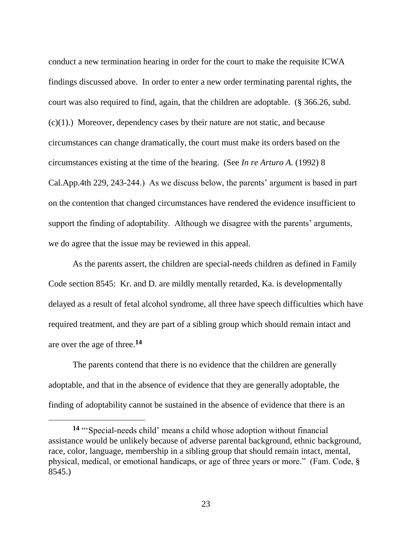conduct a new termination hearing in order for the court to make the requisite ICWA findings discussed above. In order to enter a new order terminating parental rights, the court was also required to find, again, that the children are adoptable. (§ 366.26, subd. (c)(1).) Moreover, dependency cases by their nature are not static, and because circumstances can change dramatically, the court must make its orders based on the circumstances existing at the time of the hearing. (See *In re Arturo A.* (1992) 8 Cal.App.4th 229, 243-244.) As we discuss below, the parents" argument is based in part on the contention that changed circumstances have rendered the evidence insufficient to support the finding of adoptability. Although we disagree with the parents' arguments, we do agree that the issue may be reviewed in this appeal.

As the parents assert, the children are special-needs children as defined in Family Code section 8545: Kr. and D. are mildly mentally retarded, Ka. is developmentally delayed as a result of fetal alcohol syndrome, all three have speech difficulties which have required treatment, and they are part of a sibling group which should remain intact and are over the age of three.**<sup>14</sup>**

The parents contend that there is no evidence that the children are generally adoptable, and that in the absence of evidence that they are generally adoptable, the finding of adoptability cannot be sustained in the absence of evidence that there is an

**<sup>14</sup>** ""Special-needs child" means a child whose adoption without financial assistance would be unlikely because of adverse parental background, ethnic background, race, color, language, membership in a sibling group that should remain intact, mental, physical, medical, or emotional handicaps, or age of three years or more." (Fam. Code, § 8545.)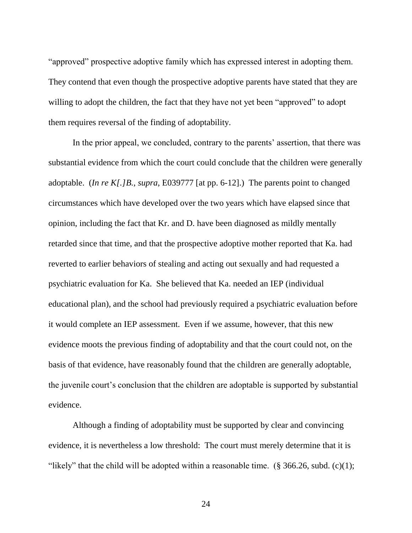"approved" prospective adoptive family which has expressed interest in adopting them. They contend that even though the prospective adoptive parents have stated that they are willing to adopt the children, the fact that they have not yet been "approved" to adopt them requires reversal of the finding of adoptability.

In the prior appeal, we concluded, contrary to the parents' assertion, that there was substantial evidence from which the court could conclude that the children were generally adoptable. (*In re K[.]B.*, *supra*, E039777 [at pp. 6-12].) The parents point to changed circumstances which have developed over the two years which have elapsed since that opinion, including the fact that Kr. and D. have been diagnosed as mildly mentally retarded since that time, and that the prospective adoptive mother reported that Ka. had reverted to earlier behaviors of stealing and acting out sexually and had requested a psychiatric evaluation for Ka. She believed that Ka. needed an IEP (individual educational plan), and the school had previously required a psychiatric evaluation before it would complete an IEP assessment. Even if we assume, however, that this new evidence moots the previous finding of adoptability and that the court could not, on the basis of that evidence, have reasonably found that the children are generally adoptable, the juvenile court"s conclusion that the children are adoptable is supported by substantial evidence.

Although a finding of adoptability must be supported by clear and convincing evidence, it is nevertheless a low threshold: The court must merely determine that it is "likely" that the child will be adopted within a reasonable time.  $(\S 366.26, \S 48.26)$ . (c)(1);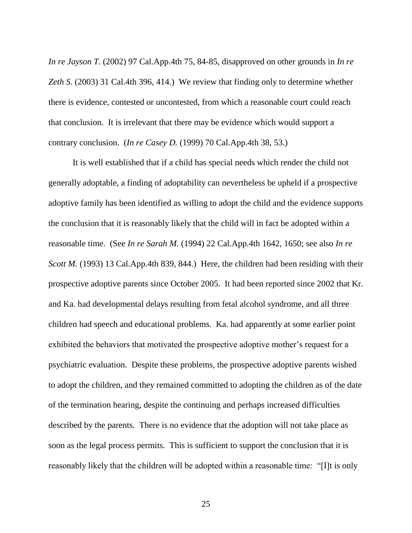*In re Jayson T.* (2002) 97 Cal.App.4th 75, 84-85, disapproved on other grounds in *In re Zeth S.* (2003) 31 Cal.4th 396, 414.) We review that finding only to determine whether there is evidence, contested or uncontested, from which a reasonable court could reach that conclusion. It is irrelevant that there may be evidence which would support a contrary conclusion. (*In re Casey D.* (1999) 70 Cal.App.4th 38, 53.)

It is well established that if a child has special needs which render the child not generally adoptable, a finding of adoptability can nevertheless be upheld if a prospective adoptive family has been identified as willing to adopt the child and the evidence supports the conclusion that it is reasonably likely that the child will in fact be adopted within a reasonable time. (See *In re Sarah M.* (1994) 22 Cal.App.4th 1642, 1650; see also *In re Scott M.* (1993) 13 Cal.App.4th 839, 844.) Here, the children had been residing with their prospective adoptive parents since October 2005. It had been reported since 2002 that Kr. and Ka. had developmental delays resulting from fetal alcohol syndrome, and all three children had speech and educational problems. Ka. had apparently at some earlier point exhibited the behaviors that motivated the prospective adoptive mother's request for a psychiatric evaluation. Despite these problems, the prospective adoptive parents wished to adopt the children, and they remained committed to adopting the children as of the date of the termination hearing, despite the continuing and perhaps increased difficulties described by the parents. There is no evidence that the adoption will not take place as soon as the legal process permits. This is sufficient to support the conclusion that it is reasonably likely that the children will be adopted within a reasonable time: "[I]t is only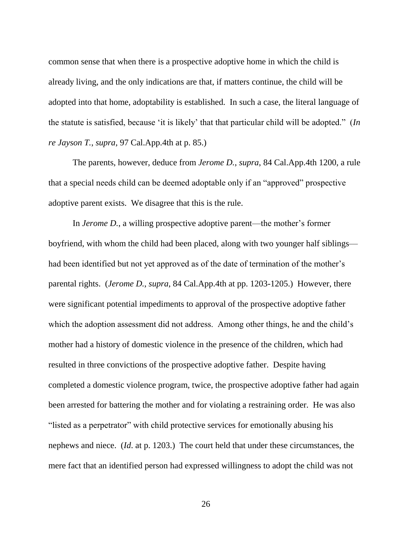common sense that when there is a prospective adoptive home in which the child is already living, and the only indications are that, if matters continue, the child will be adopted into that home, adoptability is established. In such a case, the literal language of the statute is satisfied, because "it is likely" that that particular child will be adopted." (*In re Jayson T.*, *supra*, 97 Cal.App.4th at p. 85.)

The parents, however, deduce from *Jerome D.*, *supra*, 84 Cal.App.4th 1200, a rule that a special needs child can be deemed adoptable only if an "approved" prospective adoptive parent exists. We disagree that this is the rule.

In *Jerome D.*, a willing prospective adoptive parent—the mother's former boyfriend, with whom the child had been placed, along with two younger half siblings had been identified but not yet approved as of the date of termination of the mother's parental rights. (*Jerome D.*, *supra*, 84 Cal.App.4th at pp. 1203-1205.) However, there were significant potential impediments to approval of the prospective adoptive father which the adoption assessment did not address. Among other things, he and the child's mother had a history of domestic violence in the presence of the children, which had resulted in three convictions of the prospective adoptive father. Despite having completed a domestic violence program, twice, the prospective adoptive father had again been arrested for battering the mother and for violating a restraining order. He was also "listed as a perpetrator" with child protective services for emotionally abusing his nephews and niece. (*Id*. at p. 1203.) The court held that under these circumstances, the mere fact that an identified person had expressed willingness to adopt the child was not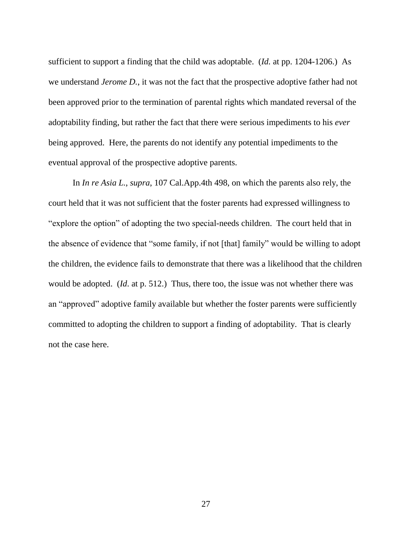sufficient to support a finding that the child was adoptable. (*Id.* at pp. 1204-1206.) As we understand *Jerome D.*, it was not the fact that the prospective adoptive father had not been approved prior to the termination of parental rights which mandated reversal of the adoptability finding, but rather the fact that there were serious impediments to his *ever* being approved. Here, the parents do not identify any potential impediments to the eventual approval of the prospective adoptive parents.

In *In re Asia L.*, *supra*, 107 Cal.App.4th 498, on which the parents also rely, the court held that it was not sufficient that the foster parents had expressed willingness to "explore the option" of adopting the two special-needs children. The court held that in the absence of evidence that "some family, if not [that] family" would be willing to adopt the children, the evidence fails to demonstrate that there was a likelihood that the children would be adopted. (*Id*. at p. 512.) Thus, there too, the issue was not whether there was an "approved" adoptive family available but whether the foster parents were sufficiently committed to adopting the children to support a finding of adoptability. That is clearly not the case here.